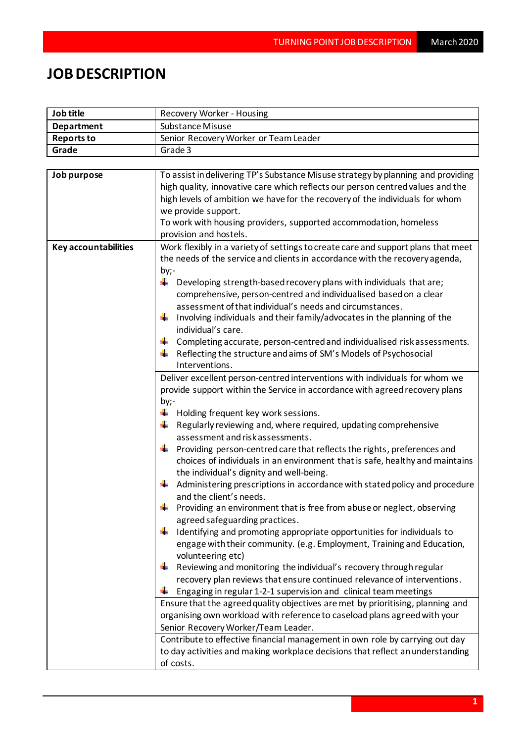## **JOB DESCRIPTION**

| Job title                   | Recovery Worker - Housing                                                                                                                                         |  |  |
|-----------------------------|-------------------------------------------------------------------------------------------------------------------------------------------------------------------|--|--|
| <b>Department</b>           | Substance Misuse                                                                                                                                                  |  |  |
| <b>Reports to</b>           | Senior Recovery Worker or Team Leader                                                                                                                             |  |  |
| Grade                       | Grade 3                                                                                                                                                           |  |  |
|                             |                                                                                                                                                                   |  |  |
| Job purpose                 | To assist in delivering TP's Substance Misuse strategy by planning and providing                                                                                  |  |  |
|                             | high quality, innovative care which reflects our person centred values and the                                                                                    |  |  |
|                             | high levels of ambition we have for the recovery of the individuals for whom                                                                                      |  |  |
|                             | we provide support.                                                                                                                                               |  |  |
|                             | To work with housing providers, supported accommodation, homeless                                                                                                 |  |  |
|                             | provision and hostels.                                                                                                                                            |  |  |
| <b>Key accountabilities</b> | Work flexibly in a variety of settings to create care and support plans that meet<br>the needs of the service and clients in accordance with the recovery agenda, |  |  |
|                             | by;-                                                                                                                                                              |  |  |
|                             | ÷<br>Developing strength-based recovery plans with individuals that are;                                                                                          |  |  |
|                             | comprehensive, person-centred and individualised based on a clear                                                                                                 |  |  |
|                             | assessment of that individual's needs and circumstances.                                                                                                          |  |  |
|                             | ÷<br>Involving individuals and their family/advocates in the planning of the<br>individual's care.                                                                |  |  |
|                             | Completing accurate, person-centred and individualised risk assessments.<br>÷                                                                                     |  |  |
|                             | Reflecting the structure and aims of SM's Models of Psychosocial                                                                                                  |  |  |
|                             | Interventions.                                                                                                                                                    |  |  |
|                             | Deliver excellent person-centred interventions with individuals for whom we                                                                                       |  |  |
|                             | provide support within the Service in accordance with agreed recovery plans                                                                                       |  |  |
|                             | by;-                                                                                                                                                              |  |  |
|                             | ÷<br>Holding frequent key work sessions.                                                                                                                          |  |  |
|                             | ÷<br>Regularly reviewing and, where required, updating comprehensive                                                                                              |  |  |
|                             | assessment and risk assessments.                                                                                                                                  |  |  |
|                             | ÷<br>Providing person-centred care that reflects the rights, preferences and<br>choices of individuals in an environment that is safe, healthy and maintains      |  |  |
|                             | the individual's dignity and well-being.                                                                                                                          |  |  |
|                             | Administering prescriptions in accordance with stated policy and procedure                                                                                        |  |  |
|                             | and the client's needs.                                                                                                                                           |  |  |
|                             | Providing an environment that is free from abuse or neglect, observing                                                                                            |  |  |
|                             | agreed safeguarding practices.                                                                                                                                    |  |  |
|                             | Identifying and promoting appropriate opportunities for individuals to                                                                                            |  |  |
|                             | engage with their community. (e.g. Employment, Training and Education,                                                                                            |  |  |
|                             | volunteering etc)                                                                                                                                                 |  |  |
|                             | Reviewing and monitoring the individual's recovery through regular                                                                                                |  |  |
|                             | recovery plan reviews that ensure continued relevance of interventions.                                                                                           |  |  |
|                             | Engaging in regular 1-2-1 supervision and clinical team meetings                                                                                                  |  |  |
|                             | Ensure that the agreed quality objectives are met by prioritising, planning and                                                                                   |  |  |
|                             | organising own workload with reference to caseload plans agreed with your                                                                                         |  |  |
|                             | Senior Recovery Worker/Team Leader.                                                                                                                               |  |  |
|                             | Contribute to effective financial management in own role by carrying out day<br>to day activities and making workplace decisions that reflect an understanding    |  |  |
|                             |                                                                                                                                                                   |  |  |
|                             | of costs.                                                                                                                                                         |  |  |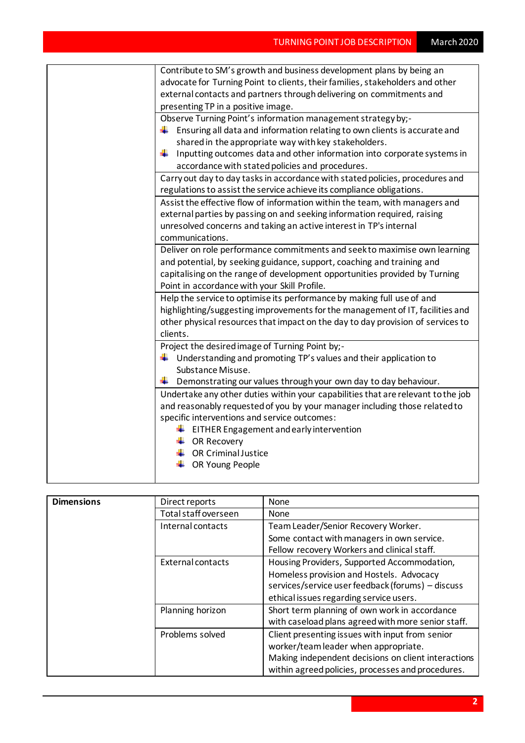| Contribute to SM's growth and business development plans by being an             |  |  |
|----------------------------------------------------------------------------------|--|--|
| advocate for Turning Point to clients, their families, stakeholders and other    |  |  |
| external contacts and partners through delivering on commitments and             |  |  |
| presenting TP in a positive image.                                               |  |  |
| Observe Turning Point's information management strategy by;-                     |  |  |
| Ensuring all data and information relating to own clients is accurate and<br>۰.  |  |  |
| shared in the appropriate way with key stakeholders.                             |  |  |
| ÷<br>Inputting outcomes data and other information into corporate systems in     |  |  |
| accordance with stated policies and procedures.                                  |  |  |
| Carry out day to day tasks in accordance with stated policies, procedures and    |  |  |
| regulations to assist the service achieve its compliance obligations.            |  |  |
| Assist the effective flow of information within the team, with managers and      |  |  |
| external parties by passing on and seeking information required, raising         |  |  |
| unresolved concerns and taking an active interest in TP's internal               |  |  |
| communications.                                                                  |  |  |
| Deliver on role performance commitments and seek to maximise own learning        |  |  |
| and potential, by seeking guidance, support, coaching and training and           |  |  |
| capitalising on the range of development opportunities provided by Turning       |  |  |
| Point in accordance with your Skill Profile.                                     |  |  |
| Help the service to optimise its performance by making full use of and           |  |  |
| highlighting/suggesting improvements for the management of IT, facilities and    |  |  |
| other physical resources that impact on the day to day provision of services to  |  |  |
| clients.                                                                         |  |  |
| Project the desired image of Turning Point by;-                                  |  |  |
| $\ddagger$ Understanding and promoting TP's values and their application to      |  |  |
| Substance Misuse.                                                                |  |  |
| Demonstrating our values through your own day to day behaviour.<br>۰.            |  |  |
| Undertake any other duties within your capabilities that are relevant to the job |  |  |
| and reasonably requested of you by your manager including those related to       |  |  |
| specific interventions and service outcomes:                                     |  |  |
| $\frac{1}{2}$ EITHER Engagement and early intervention                           |  |  |
| $\leftarrow$ OR Recovery                                                         |  |  |
| $\leftarrow$ OR Criminal Justice                                                 |  |  |
| OR Young People                                                                  |  |  |
|                                                                                  |  |  |

| <b>Dimensions</b> | Direct reports       | None                                                |
|-------------------|----------------------|-----------------------------------------------------|
|                   | Total staff overseen | None                                                |
|                   | Internal contacts    | Team Leader/Senior Recovery Worker.                 |
|                   |                      | Some contact with managers in own service.          |
|                   |                      | Fellow recovery Workers and clinical staff.         |
|                   | External contacts    | Housing Providers, Supported Accommodation,         |
|                   |                      | Homeless provision and Hostels. Advocacy            |
|                   |                      | services/service user feedback (forums) - discuss   |
|                   |                      | ethical issues regarding service users.             |
|                   | Planning horizon     | Short term planning of own work in accordance       |
|                   |                      | with caseload plans agreed with more senior staff.  |
|                   | Problems solved      | Client presenting issues with input from senior     |
|                   |                      | worker/team leader when appropriate.                |
|                   |                      | Making independent decisions on client interactions |
|                   |                      | within agreed policies, processes and procedures.   |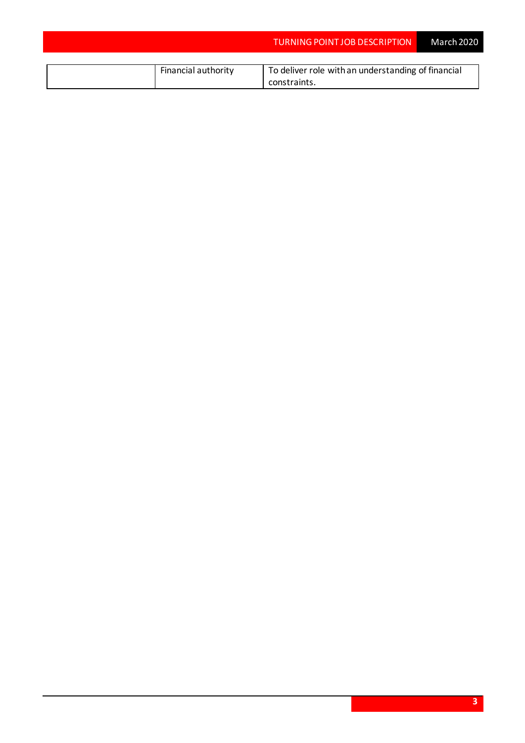|                     | <b>TURNING POINT JOB DESCRIPTION</b>               | March 2020 |
|---------------------|----------------------------------------------------|------------|
|                     |                                                    |            |
| Financial authority | To deliver role with an understanding of financial |            |
|                     | constraints.                                       |            |